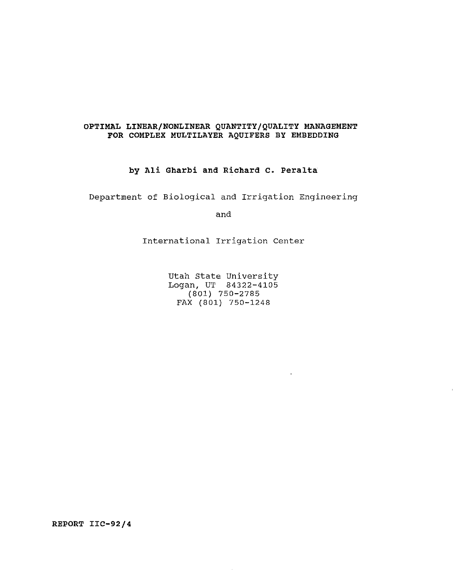#### **OPTIMAL LINEAR/NONLINEAR QUANTITY/QUALITY MANAGEMENT FOR COMPLEX MULTILAYER AQUIFERS BY EMBEDDING**

**by Ali Gharbi and Richard c. Peralta** 

Department of Biological and Irrigation Engineering

and

International Irrigation Center

Utah State University Logan, UT 84322-4105 (801) 750-2785 FAX (801) 750-1248

**REPORT IIC-92/4**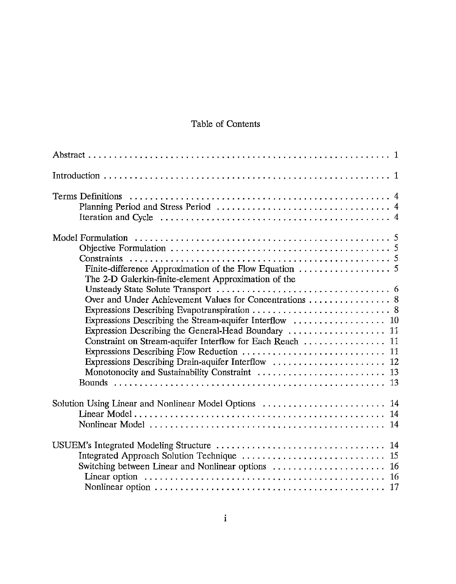## Table of Contents

| The 2-D Galerkin-finite-element Approximation of the                                                                                                                                                                             |
|----------------------------------------------------------------------------------------------------------------------------------------------------------------------------------------------------------------------------------|
| Over and Under Achievement Values for Concentrations 8<br>Expression Describing the General-Head Boundary  11<br>Constraint on Stream-aquifer Interflow for Each Reach  11<br>Expressions Describing Drain-aquifer Interflow  12 |
| Solution Using Linear and Nonlinear Model Options<br>14                                                                                                                                                                          |
| Switching between Linear and Nonlinear options<br>16<br>-16                                                                                                                                                                      |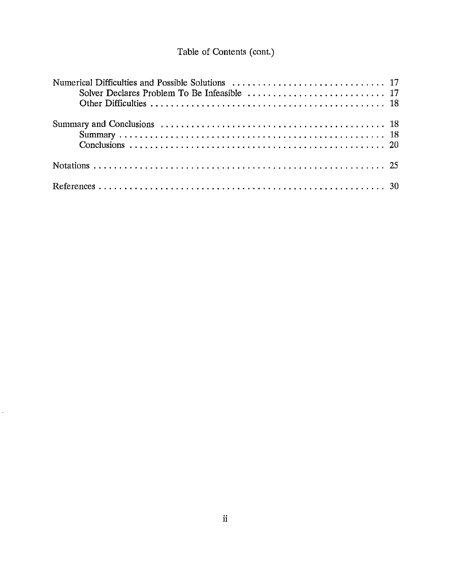# Table of Contents (cont.)

 $\mathbb{R}^2$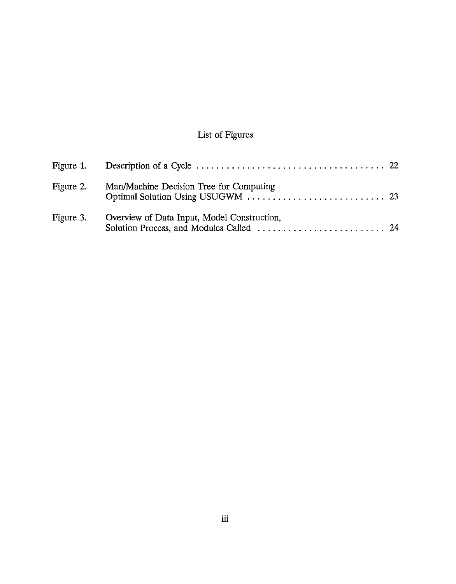# List of Figures

| Figure 2. | Man/Machine Decision Tree for Computing     |  |
|-----------|---------------------------------------------|--|
| Figure 3. | Overview of Data Input, Model Construction, |  |

 $\sim 10^{-1}$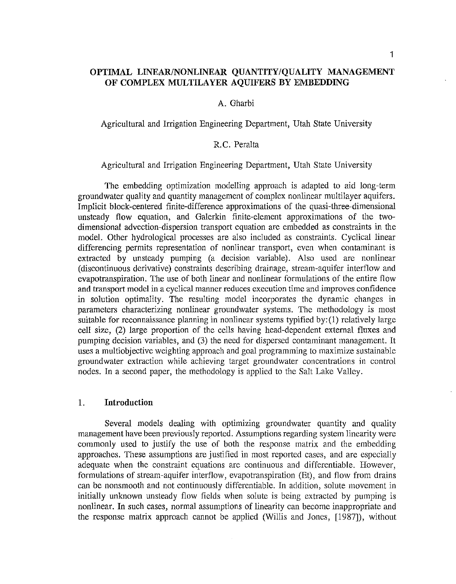## **OPTIMAL LINEAR/NONLINEAR QUANTITY/QUALITY MANAGEMENT OF COMPLEX MULTILAYER AQUIFERS BY EMBEDDING**

#### A. Gharbi

Agricultural and Irrigation Engineering Department, Utah State University

## R.C. Peralta

#### Agricultural and Irrigation Engineering Department, Utah State University

The embedding optimization modelling approach is adapted to aid long-term groundwater quality and quantity management of complex nonlinear multilayer aquifers. Implicit block-centered finite-difference approximations of the quasi-three-dimensional unsteady flow equation, and Galerkin finite-element approximations of the twodimensional advection-dispersion transport equation are embedded as constraints in the model. Other hydrological processes are also included as constraints. Cyclical linear differencing permits representation of nonlinear transport, even when contaminant is extracted by unsteady pumping (a decision variable). Also used are nonlinear (discontinuous derivative) constraints describing drainage, stream-aquifer interflow and evapotranspiration. The use of both linear and nonlinear formulations of the entire flow and transport model in a cyclical manner reduces execution time and improves confidence in solution optimality. The resulting model incorporates the dynamic changes in parameters characterizing nonlinear groundwater systems. The methodology is most suitable for reconnaissance planning in nonlinear systems typified by: (1) relatively large ceil size, (2) large proportion of the cells having head-dependent external fluxes and pumping decision variables, and (3) the need for dispersed contaminant management. It uses a multiobjective weighting approach and goal programming to maximize sustainable groundwater extraction while achieving target groundwater concentrations in control nodes. In a second paper, the methodology is applied to the Salt Lake Valley.

## 1. **Introduction**

Several models dealing with optimizing groundwater quantity and quality management have been previously reported. Assumptions regarding system linearity were commonly used to justify the use of both the response matrix and the embedding approaches. These assumptions are justified in most reported cases, and are especially adequate when the constraint equations are continuous and differentiable. However, formulations of stream-aquifer interflow, evapotranspiration (Et), and flow from drains can be nonsmooth and not continuously differentiable. In addition, solute movement in initially unknown unsteady flow fields when solute is being extracted by pumping is nonlinear. In such cases, normal assumptions of linearity can become inappropriate and the response matrix approach cannot be applied (Willis and Jones, [1987]), without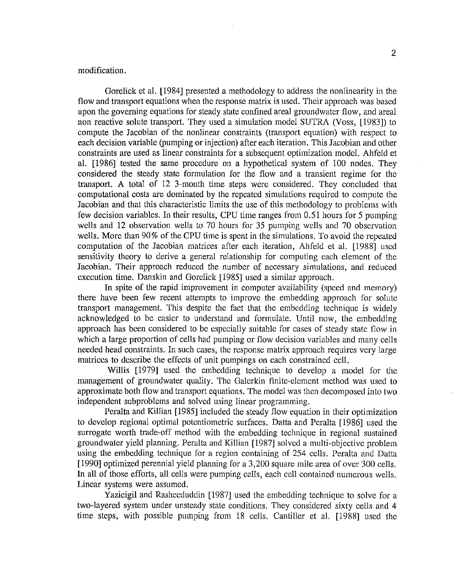#### modification.

Gorelick et al. [1984] presented a methodology to address the nonlinearity in the flow and transport equations when the response matrix is used. Their approach was based upon the governing equations for steady state confined areal groundwater flow, and areal non reactive solute transport. They used a simulation model SUTRA (Voss, [1983]) to compute the Jacobian of the nonlinear constraints (transport equation) with respect to each decision variable (pumping or injection) after each iteration. This Jacobian and other constraints are used as linear constraints for a subsequent optimization model. Ahfeld et a!. [1986] tested the same procedure on a hypothetical system of 100 nodes. They considered the steady state formulation for the flow and a transient regime for the transport. A total of 12 3-month time steps were considered. They concluded that computational costs are dominated by the repeated simulations required to compute the Jacobian and that this characteristic limits the use of this methodology to problems with few decision variables. In their results, CPU time ranges from 0.51 hours for *5* pumping wells and 12 observation wells to 70 hours for 35 pumping wells and 70 observation wells. More than 90% of the CPU time is spent in the simulations. To avoid the repeated computation of the Jacobian matrices after each iteration, Ahfeld et a!. [1988] used sensitivity theory to derive a general relationship for computing each element of the Jacobian. Their approach reduced the number of necessary simulations, and reduced execution time. Danskin and Gorelick [1985] used a similar approach.

**In** spite of the rapid improvement in computer availability (speed and memory) there have been few recent attempts to improve the embedding approach for solute transport management. This despite the fact that the embedding technique is widely acknowledged to be easier to understand and formulate. Until now, the embedding approach has been considered to be especially suitable for cases of steady state flow in which a large proportion of cells had pumping or flow decision variables and many cells needed head constraints. In such cases, the response matrix approach requires very large matrices to describe the effects of unit pumpings on each constrained cell.

Willis [1979] used the embedding technique to develop a model for the management of groundwater quality. The Galerkin finite-element method was used to approximate both flow and transport equations. The model was then decomposed into two independent subproblems and solved using linear programming.

Peralta and Killian [1985] included the steady flow equation in their optimization to develop regional optimal potentiometric surfaces. Datta and Peralta [1986] used the surrogate worth trade-off method with the embedding technique in regional sustained groundwater yield planning. Peralta and Killian [1987] solved a multi-objective problem using the embedding technique for a region containing of 254 cells. Peralta and Datta [1990] optimized perennial yield planning for a 3,200 square mile area of over 300 cells. In all of those efforts, all cells were pumping cells, each cell contained numerous wells. Linear systems were assumed.

Yazicigil and Rasheeduddin [1987] used the embedding technique to solve for a two-layered system under unsteady state conditions. They considered sixty cells and **4**  time steps, with possible pumping from 18 cells. Cantiller et al. [1988] used the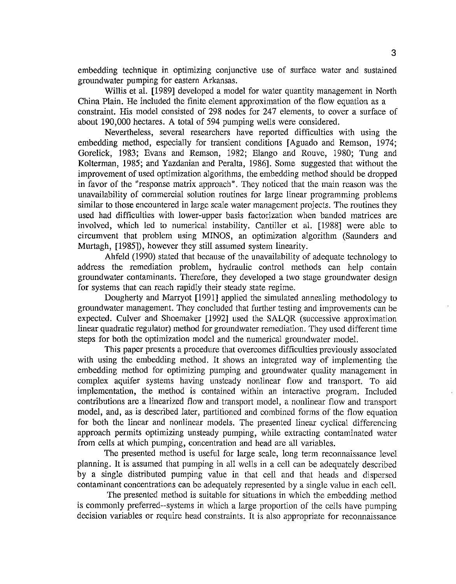embedding technique in optimizing conjunctive use of surface water and sustained groundwater pumping for eastern Arkansas.

Willis et al. [1989] developed a model for water quantity management in North China Plain. He included the finite element approximation of the flow equation as a constraint. His model consisted of 298 nodes for 247 elements, to cover a surface of about 190,000 hectares. A total of 594 pumping wells were considered.

Nevertheless, several researchers have reported difficulties with using the embedding method, especially for transient conditions [Aguado and Remson, 1974; Gorelick, 1983; Evans and Remson, 1982; Elango and Rouve, 1980; Tung and Kolterman, 1985; and Yazdanian and Peralta, 1986]. Some suggested that without the improvement of used optimization algorithms, the embedding method should be dropped in favor of the "response matrix approach". They noticed that the main reason was the unavailability of commercial solution routines for large linear programming problems similar to those encountered in large scale water management projects. The routines they used had difficulties with lower-upper basis factorization when banded matrices are involved, which led to numerical instability. Cantiller et al. [1988] were able to circumvent that problem using MINOS, an optimization algorithm (Saunders and Murtagh, [1985]), however they still assumed system linearity.

Ahfeld (1990) stated that because of the unavailability of adequate technology to address the remediation problem, hydraulic control methods can help contain groundwater contaminants. Therefore, they developed a two stage groundwater design for systems that can reach rapidly their steady state regime.

Dougherty and Marryot [1991] applied the simulated annealing methodology to groundwater management. They concluded that further testing and improvements can be expected. Culver and Shoemaker [1992] used the SALQR (successive approximation linear quadratic regulator) method for groundwater remediation. They used different time steps for both the optimization model and the numerical groundwater model.

This paper presents a procedure that overcomes difficulties previously associated with using the embedding method. It shows an integrated way of implementing the embedding method for optimizing pumping and groundwater quality management in complex aquifer systems having unsteady nonlinear flow and transport. To aid implementation, the method is contained within an interactive program. Included contributions are a linearized flow and transport model, a nonlinear flow and transport model, and, as is described later, partitioned and combined forms of the flow equation for both the linear and nonlinear models. The presented linear cyclical differencing approach permits optimizing unsteady pumping, while extracting contaminated water from cells at which pumping, concentration and head are all variables.

The presented method is useful for large scale, long term reconnaissance level planning. It is assumed that pumping in all wells in a cell can be adequately described by a single distributed pumping value in that cell and that heads and dispersed contaminant concentrations can be adequately represented by a single value in each cell.

The presented method is suitable for situations in which the embedding method is commonly preferred--systems in which a large proportion of the cells have pumping decision variables or require head constraints. It is also appropriate for reconnaissance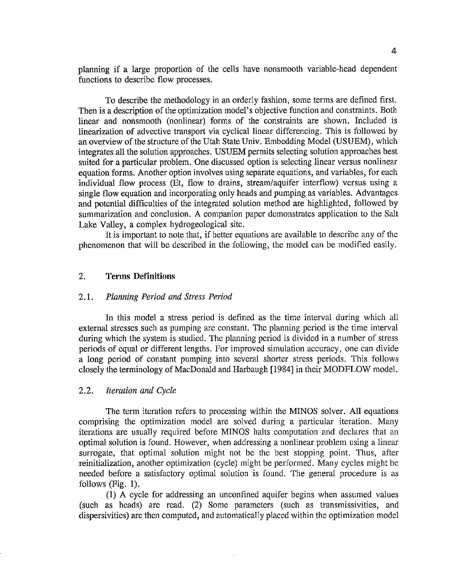planning if a large proportion of the cells have nonsmooth variable-head dependent functions to describe flow processes.

To describe the methodology in an orderly fashion, some terms are defined first. Then is a description of the optimization model's objective function and constraints. Both linear and nonsmooth (nonlinear) forms of the constraints are shown. Included is linearization of advective transport via cyclical linear differencing. This is followed by an overview of the structure of the Utah State Univ. Embedding Model (USUEM), which integrates all the solution approaches. USUEM permits selecting solution approaches best suited for a particular problem. One discussed option is selecting linear versus nonlinear equation forms. Another option involves using separate equations, and variables, for each individual flow process (Et, flow to drains, stream/aquifer interflow) versus using a single flow equation and incorporating only heads and pumping as variables. Advantages and potential difficulties of the integrated solution method are highlighted, followed by summarization and conclusion. A companion paper demonstrates application to the Salt Lake Valley, a complex hydrogeological site.

It is important to note that, if better equations are available to describe any of the phenomenon that will be described in the following, the model can be modified easily.

## 2. **Terms Definitions**

## 2.1. *Planning Period and Stress Period*

In this model a stress period is defined as the time interval during which all external stresses such as pumping are constant. The planning period is the time interval during which the system is studied. The planning period is divided in a number of stress periods of equal or different lengths. For improved simulation accuracy, one can divide a long period of constant pumping into several shorter stress periods. This follows closely the terminology of MacDonald and Harbaugh [1984] in their MODFLOW model.

#### 2.2. *Iteration and Cycle*

The term iteration refers to processing within the MINOS solver. All equations comprising the optimization model are solved during a particular iteration. Many iterations are usually required before MINOS halts computation and declares that an optimal solution is found. However, when addressing a nonlinear problem using a linear surrogate, that optimal solution might not be the best stopping point. Thus, after reinitialization, another optimization (cycle) might be performed. Many cycles might be needed before a satisfactory optimal solution is found. The general procedure is as follows (Fig. 1).

(1) A cycle for addressing an unconfined aquifer begins when assumed values (such as heads) are read. (2) Some parameters (such as transmissivities, and dispersivities) are then computed, and automatically placed within the optimization model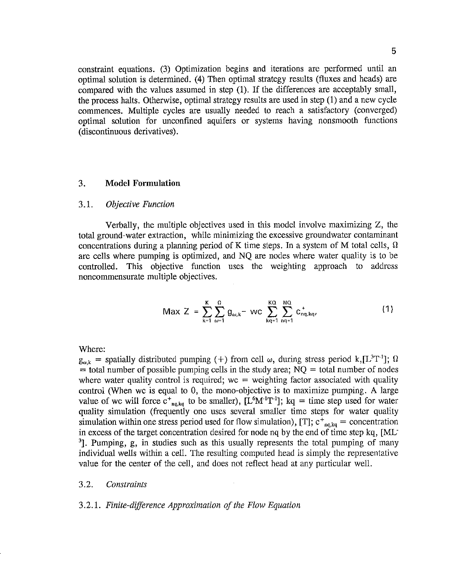constraint equations. (3) Optimization begins and iterations are performed until an optimal solution is determined. (4) Then optimal strategy results (fluxes and heads) are compared with the values assumed in step (1). If the differences are acceptably small, the process halts. Otherwise, optimal strategy results are used in step (1) and a new cycle commences. Multiple cycles are usually needed to reach a satisfactory (converged) optimal solution for unconfined aquifers or systems having nonsmooth functions (discontinuous derivatives).

#### 3. **Model Formulation**

#### 3 .1. *Objective Function*

Verbally, the multiple objectives used in this model involve maximizing Z, the total ground-water extraction, while minimizing the excessive groundwater contaminant concentrations during a planning period of K time steps. In a system of M total cells,  $\Omega$ are cells where pumping is optimized, and NQ are nodes where water quality is to be controlled. This objective function uses the weighting approach to address noncommensurate multiple objectives.

$$
\text{Max } Z = \sum_{k=1}^{K} \sum_{\omega=1}^{\Omega} g_{\omega,k} \text{ - wc } \sum_{kq=1}^{KQ} \sum_{nq=1}^{NQ} c_{nq,kq}^{\dagger}, \tag{1}
$$

Where:

 $g_{\omega,k}$  = spatially distributed pumping (+) from cell  $\omega$ , during stress period k, [L<sup>3</sup>T<sup>-1</sup>];  $\Omega$  $=$  total number of possible pumping cells in the study area;  $NQ =$  total number of nodes where water quality control is required;  $wc = weighting factor associated with quality$ control (When we is equal to 0, the mono-objective is to maximize pumping. A large value of we will force  $c_{\text{ng},kq}^+$  to be smaller), [L<sup>6</sup>M<sup>-1</sup>T<sup>-1</sup>]; kq = time step used for water quality simulation (frequently one uses several smaller time steps for water quality simulation within one stress period used for flow simulation), [T];  $c_{nq,kq}^+$  = concentration in excess of the target concentration desired for node nq by the end of time step kq, [ML-3]. Pumping, g, in studies such as this usually represents the total pumping of many individual wells within a cell. The resulting computed head is simply the representative value for the center of the cell, and does not reflect head at any particular well.

#### 3.2. *Constraints*

#### 3.2.1. *Finite-difference Approximation of the Flow Equation*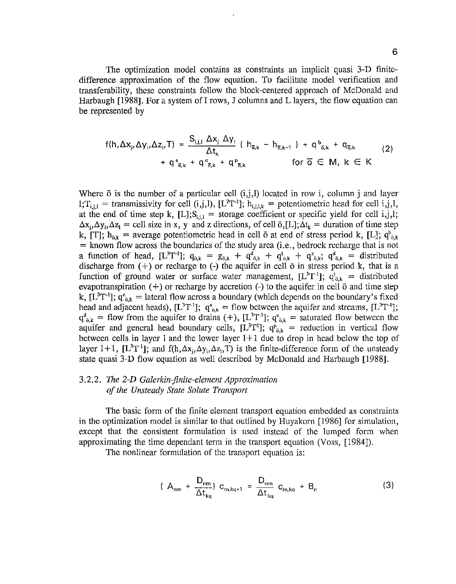The optimization model contains as constraints an implicit quasi 3-D finitedifference approximation of the flow equation. To facilitate model verification and transferability, these constraints follow the block-centered approach of McDonald and Harbaugh  $[1988]$ . For a system of I rows, J columns and L layers, the flow equation can be represented by

$$
f(h, \Delta x_{j}, \Delta y_{j}, \Delta z_{j}, T) = \frac{S_{j,j,l} \Delta x_{j} \Delta y_{j}}{\Delta t_{k}} (h_{\overline{o},k} - h_{\overline{o},k-1}) + q_{\overline{o},k}^{b} + q_{\overline{o},k}^{c} \qquad (2)
$$
  
+  $q_{\overline{o},k}^{s} + q_{\overline{o},k}^{c} + q_{\overline{o},k}^{p} \qquad \text{for } \overline{o} \in M, k \in K$ 

Where  $\bar{o}$  is the number of a particular cell  $(i,j,l)$  located in row i, column j and layer  $l_i T_{i,i,l}$  = transmissivity for cell (i,j,l), [L<sup>2</sup>T<sup>-1</sup>];  $h_{i,i,l,k}$  = potentiometric head for cell i,j,l, at the end of time step k,  $[L]; S_{i,j,l}$  = storage coefficient or specific yield for cell i,j,l;  $\Delta x_i$ ,  $\Delta y_i$ ,  $\Delta z_i$  = cell size in x, y and z directions, of cell  $\bar{\sigma}$ , [L];  $\Delta t_k$  = duration of time step k, [T];  $h_{\bar{o},k}$  = average potentiometric head in cell  $\bar{o}$  at end of stress period k, [L];  $q_{\bar{o},k}$ = known flow across the boundaries of the study area (i.e., bedrock recharge that is not a function of head,  $[L^3T^{-1}]$ ;  $q_{\delta,k} = g_{\delta,k} + q_{\delta,k}^d + q_{\delta,k}^d + q_{\delta,k}^d$ ,  $q_{\delta,k}^d =$  distributed discharge from  $(+)$  or recharge to  $(-)$  the aquifer in cell  $\bar{o}$  in stress period k, that is a function of ground water or surface water management,  $[L^{3}T^{1}]$ ;  $q_{\bar{o},k}^{t} =$  distributed evapotranspiration  $(+)$  or recharge by accretion  $(-)$  to the aquifer in cell  $\bar{o}$  and time step k,  $[L^{3}T^{-1}]$ ;  $q_{\bar{o},k}^{2} =$  lateral flow across a boundary (which depends on the boundary's fixed head and adjacent heads),  $[L^{3}T^{-1}]$ ;  $q_{\bar{o},k}^{s} =$  flow between the aquifer and streams,  $[L^{3}T^{-1}]$ ;  $q_{\bar{a},k}^d$  = flow from the aquifer to drains (+), [L<sup>3</sup>T<sup>-1</sup>];  $q_{\bar{a},k}^e$  = saturated flow between the aquifer and general head boundary cells,  $[L^{3}T^{1}]$ ;  $q_{\bar{p}_{ak}} =$  reduction in vertical flow between cells in layer 1 and the lower layer  $1+1$  due to drop in head below the top of layer 1+1, [L<sup>3</sup>T<sup>-1</sup>]; and f(h, $\Delta x_j$ , $\Delta y_j$ , $\Delta z_j$ ,T) is the finite-difference form of the unsteady state quasi 3-D flow equation as well described by McDonald and Harbaugh [1988].

## 3.2.2. *The 2-D Galerkin-finite-element Approximation of the Unsteady State Solute Transport*

The basic form of the finite element transport equation embedded as constraints in the optimization model is similar to that outlined by Huyakorn [1986] for simulation, except that the consistent formulation is used instead of the lumped form when approximating the time dependant term in the transport equation (Voss, [1984]).

The nonlinear formulation of the transport equation is:

$$
A_{nm} + \frac{D_{nm}}{\Delta t_{kq}} C_{m,kq+1} = \frac{D_{nm}}{\Delta t_{kq}} C_{m,kq} + B_n
$$
 (3)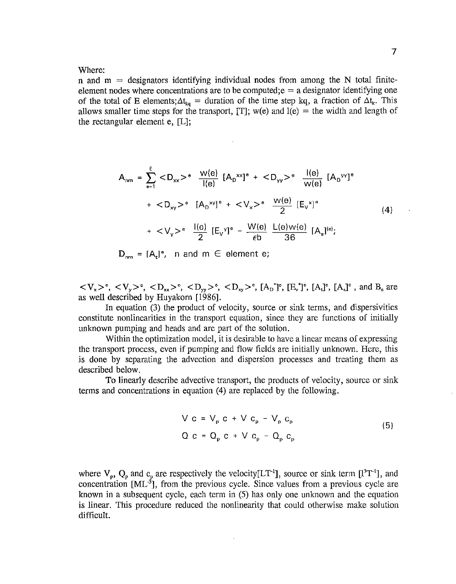#### Where:

n and  $m =$  designators identifying individual nodes from among the N total finiteelement nodes where concentrations are to be computed;  $e = a$  designator identifying one of the total of E elements;  $\Delta t_{k_0}$  = duration of the time step kq, a fraction of  $\Delta t_k$ . This allows smaller time steps for the transport, [T]; w(e) and  $l(e) =$  the width and length of the rectangular element e, [L];

$$
A_{nm} = \sum_{e=1}^{E} ^e \frac{W(e)}{I(e)} [A_D^{xx}]^e + ^e \frac{I(e)}{W(e)} [A_D^{yy}]^e
$$
  
+  $^e [A_D^{xy}]^e + ^e \frac{W(e)}{2} [E_V^x]^e$   
+  $^e \frac{I(e)}{2} [E_V^y]^e - \frac{W(e)}{\epsilon b} \frac{L(e)W(e)}{36} [A_s]^{e}$ ; (4)

 $D_{nm} = [A_t]^e$ , n and m  $\in$  element e;

 $\langle V_x \rangle^c$ ,  $\langle V_y \rangle^c$ ,  $\langle D_{xx} \rangle^c$ ,  $\langle D_{yy} \rangle^c$ ,  $\langle D_{xy} \rangle^c$ ,  $[A_D^*]^c$ ,  $[B_y^*]^c$ ,  $[A_A]^c$ ,  $[A_s]^c$ , and  $B_a$  are as well described by Huyakorn [1986].

In equation (3) the product of velocity, source or sink terms, and dispersivities constitute nonlinearities in the transport equation, since they are functions of initially unknown pumping and heads and are part of the solution.

Within the optimization model, it is desirable to have a linear means of expressing the transport process, even if pumping and flow fields are initially unknown. Here, this is done by separating the advection and dispersion processes and treating them as described below.

To linearly describe advective transport, the products of velocity, source or sink terms and concentrations in equation (4) are replaced by the following.

$$
V c = V_p c + V c_p - V_p c_p
$$
  
\n
$$
Q c = Q_p c + V c_p - Q_p c_p
$$
\n(5)

where  $V_p$ ,  $Q_p$  and  $c_p$  are respectively the velocity[LT<sup>-1</sup>], source or sink term [1<sup>3</sup>T<sup>-1</sup>], and concentration  $[ML^{-3}]$ , from the previous cycle. Since values from a previous cycle are known in a subsequent cycle, each term in (5) has only one unknown and the equation is linear. This procedure reduced the nonlinearity that could otherwise make solution difficult.

 $\sim$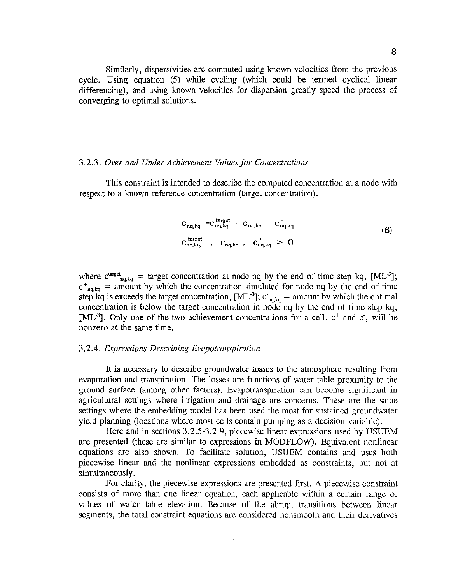Similarly, dispersivities are computed using known velocities from the previous cycle. Using equation (5) while cycling (which could be termed cyclical linear differencing), and using known velocities for dispersion greatly speed the process of converging to optimal solutions.

#### 3.2.3. *Over and Under Achievement Values for Concentrations*

This constraint is intended to describe the computed concentration at a node with respect to a known reference concentration (target concentration).

$$
C_{nq,kq} = C_{nq,kq}^{target} + C_{nq,kq}^{+} - C_{nq,kq}^{-}
$$
  
\n
$$
C_{nq,kq}^{target}, C_{nq,kq}^{-}, C_{nq,kq}^{+} \ge 0
$$
  
\n(6)

where  $c^{target}_{nq, kq}$  = target concentration at node nq by the end of time step kq, [ML<sup>-3</sup>];  $c^{+}_{nq, kq}$  = amount by which the concentration simulated for node nq by the end of time step kq is exceeds the target concentration,  $[ML^{-3}]$ ;  $c_{nq, kq}$  = amount by which the optimal concentration is below the target concentration in node nq by the end of time step kq, [ML<sup>-3</sup>]. Only one of the two achievement concentrations for a cell,  $c^+$  and  $c$ , will be nonzero at the same time.

#### 3.2.4. *Expressions Describing Evapotranspiration*

It is necessary to describe groundwater losses to the atmosphere resulting from evaporation and transpiration. The losses are functions of water table proximity to the ground surface (among other factors). Evapotranspiration can become significant in agricultural settings where irrigation and drainage are concerns. These are the same settings where the embedding model has been used the most for sustained groundwater yield planning (locations where most cells contain pumping as a decision variable).

Here and in sections 3.2.5-3.2.9, piecewise linear expressions used by USUEM are presented (these are similar to expressions in MODFLOW). Equivalent nonlinear equations are also shown. To facilitate solution, USUEM contains and uses both piecewise linear and the nonlinear expressions embedded as constraints, but not at simultaneously.

For clarity, the piecewise expressions are presented first. A piecewise constraint consists of more than one linear equation, each applicable within a certain range of values of water table elevation. Because of the abrupt transitions between linear segments, the total constraint equations are considered nonsmooth and their derivatives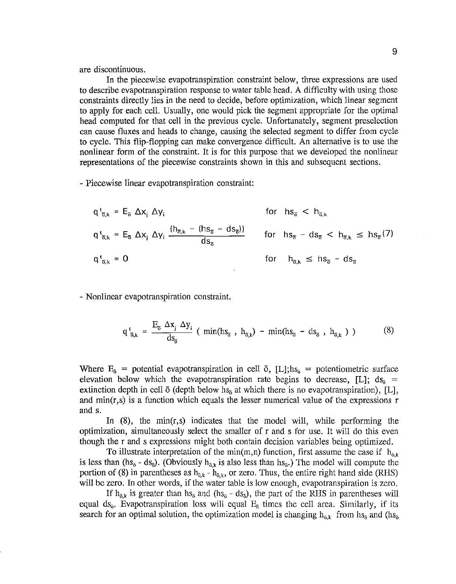are discontinuous.

In the piecewise evapotranspiration constraint below, three expressions are used to describe evapotranspiration response to water table head. A difficulty with using those constraints directly lies in the need to decide, before optimization, which linear segment to apply for each cell. Usually, one would pick the segment appropriate for the optimal head computed for that cell in the previous cycle. Unfortunately, segment preselection can cause fluxes and heads to change, causing the selected segment to differ from cycle to cycle. This flip-flopping can make convergence difficult. An alternative is to use the nonlinear form of the constraint. It is for this purpose that we developed the nonlinear representations of the piecewise constraints shown in this and subsequent sections.

- Piecewise linear evapotranspiration constraint:

$$
q^{t}_{\overline{o},k} = E_{\overline{o}} \Delta x_{j} \Delta y_{i} \qquad \text{for} \quad h s_{\overline{o}} < h_{\overline{o},k}
$$
\n
$$
q^{t}_{\overline{o},k} = E_{\overline{o}} \Delta x_{j} \Delta y_{i} \frac{(h_{\overline{o},k} - (h s_{\overline{o}} - ds_{\overline{o}}))}{ds_{\overline{o}}} \qquad \text{for} \quad h s_{\overline{o}} - ds_{\overline{o}} < h_{\overline{o},k} \le h s_{\overline{o}} \quad (7)
$$
\n
$$
q^{t}_{\overline{o},k} = 0 \qquad \text{for} \quad h_{\overline{o},k} \le h s_{\overline{o}} - ds_{\overline{o}}
$$

- Nonlinear evapotranspiration constraint.

$$
q_{\overline{o},k}^{t} = \frac{E_{\overline{o}} \Delta x_j \Delta y_i}{ds_{\overline{o}}} (\min(h_{S_{\overline{o}}}, h_{\overline{o},k}) - \min(h_{S_{\overline{o}}} - ds_{\overline{o}}, h_{\overline{o},k})) \qquad (8)
$$

Where  $E_{\delta}$  = potential evapotranspiration in cell  $\bar{\sigma}$ , [L]; hs<sub> $\bar{\delta}$ </sub> = potentiometric surface elevation below which the evapotranspiration rate begins to decrease, [L];  $ds_0 =$ extinction depth in cell  $\bar{o}$  (depth below hs<sub> $\bar{o}$ </sub> at which there is no evapotranspiration), [L], and  $min(r, s)$  is a function which equals the lesser numerical value of the expressions r and s.

In  $(8)$ , the min(r,s) indicates that the model will, while performing the optimization, simultaneously select the smaller of r and s for use. It will do this even though the r and s expressions might both contain decision variables being optimized.

To illustrate interpretation of the min(m,n) function, first assume the case if  $h_{\bar{p}k}$ is less than (hs<sub> $\delta$ </sub>- ds<sub> $\delta$ </sub>). (Obviously h<sub> $\delta_{\kappa}$ </sub> is also less than hs<sub> $\delta$ </sub>.) The model will compute the portion of (8) in parentheses as  $h_{\bar{o},k}$  -  $h_{\bar{o},k}$ , or zero. Thus, the entire right hand side (RHS) will be zero. In other words, if the water table is low enough, evapotranspiration is zero.

If  $h_{\delta,k}$  is greater than  $hs_{\delta}$  and  $(hs_{\delta} - ds_{\delta})$ , the part of the RHS in parentheses will equal ds<sub> $\bar{o}$ </sub>. Evapotranspiration loss will equal  $E_6$  times the cell area. Similarly, if its search for an optimal solution, the optimization model is changing  $h_{\bar{o},k}$  from hs<sub> $\bar{o}$ </sub> and (hs<sub> $\bar{o}$ </sub>)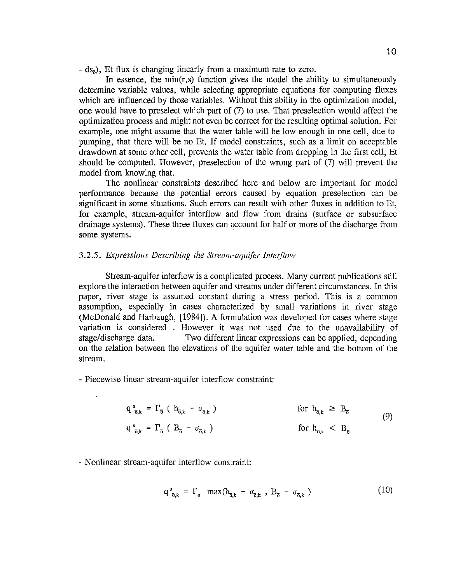$-$  ds<sub> $\delta$ </sub>). Et flux is changing linearly from a maximum rate to zero.

In essence, the min( $r,s$ ) function gives the model the ability to simultaneously determine variable values, while selecting appropriate equations for computing fluxes which are influenced by those variables. Without this ability in the optimization model, one would have to preselect which part of (7) to use. That preselection would affect the optimization process and might not even be correct for the resulting optimal solution. For example, one might assume that the water table will be low enough in one cell, due to pumping, that there will be no Et. If model constraints, such as a limit on acceptable drawdown at some other cell, prevents the water table from dropping in the first cell, Et should be computed. However, preselection of the wrong part of (7) will prevent the model from knowing that.

The nonlinear constraints described here and below are important for model performance because the potential errors caused by equation preselection can be significant in some situations. Such errors can result with other fluxes in addition to Et, for example, stream-aquifer interflow and flow from drains (surface or subsurface drainage systems). These three fluxes can account for half or more of the discharge from some systems.

## 3.2.5. *Expressions Describing the Stream-aquifer Intojlow*

Stream-aquifer interflow is a complicated process. Many current publications still explore the interaction between aquifer and streams under different circumstances. In this paper, river stage is assumed constant during a stress period. This is a common assumption, especially in cases characterized by small variations in river stage (McDonald and Harbaugh, [1984]). A formulation was developed for cases where stage variation is considered . However it was not used due to the unavailability of stage/discharge data. Two different linear expressions can be applied, depending on the relation between the elevations of the aquifer water table and the bottom of the stream.

- Piecewise linear stream-aquifer interflow constraint:

$$
q_{\overline{o},k}^{s} = \Gamma_{\overline{o}} \left( h_{\overline{o},k} - \sigma_{\overline{o},k} \right) \qquad \text{for } h_{\overline{o},k} \geq B_{\overline{o}} \qquad (9)
$$
\n
$$
q_{\overline{o},k}^{s} = \Gamma_{\overline{o}} \left( B_{\overline{o}} - \sigma_{\overline{o},k} \right) \qquad \text{for } h_{\overline{o},k} < B_{\overline{o}} \qquad (9)
$$

- Nonlinear stream-aquifer interflow constraint:

$$
q_{\overline{6},k}^s = \Gamma_{\overline{0}} \ \ \text{max}(h_{\overline{6},k} - \sigma_{\overline{6},k} \ , \ B_{\overline{0}} - \sigma_{\overline{6},k} \ ) \tag{10}
$$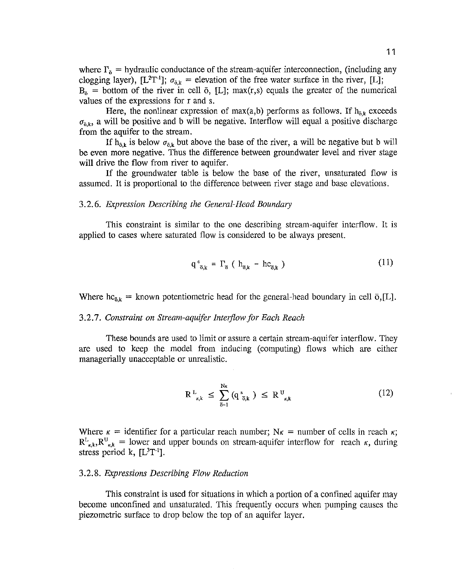where  $\Gamma_{\bar{o}}$  = hydraulic conductance of the stream-aquifer interconnection, (including any clogging layer),  $[L^{2}T^{-1}]$ ;  $\sigma_{\sigma,k}$  = elevation of the free water surface in the river, [L];  $B_{\delta}$  = bottom of the river in cell  $\bar{o}$ , [L]; max(r,s) equals the greater of the numerical values of the expressions for r and s.

Here, the nonlinear expression of max(a,b) performs as follows. If  $h_{\tilde{o},k}$  exceeds  $\sigma_{\tilde{\sigma}k}$ , a will be positive and b will be negative. Interflow will equal a positive discharge from the aquifer to the stream.

If  $h_{\delta,k}$  is below  $\sigma_{\delta,k}$  but above the base of the river, a will be negative but b will be even more negative. Thus the difference between groundwater level and river stage will drive the flow from river to aquifer.

If the groundwater table is below the base of the river, unsaturated flow is assumed. It is proportional to the difference between river stage and base elevations.

#### 3. 2. 6. *Expression Describing the General-Head Boundmy*

This constraint is similar to the one describing stream-aquifer interflow. It is applied to cases where saturated flow is considered to be always present.

$$
q^{c}_{\bar{\sigma},k} = \Gamma_{\bar{\sigma}} \left( h_{\bar{\sigma},k} - h c_{\bar{\sigma},k} \right) \tag{11}
$$

Where  $hc_{\bar{a},k}$  = known potentiometric head for the general-head boundary in cell  $\bar{o},[L]$ .

#### 3.2.7. Constraint on Stream-aquifer Interflow for Each Reach

These bounds are used to limit or assure a certain stream-aquifer interflow. They are used to keep the model from inducing (computing) flows which are either managerially unacceptable or umealistic.

$$
R^{L}_{\kappa,k} \leq \sum_{\overline{o}=1}^{N\kappa} (q^{s}_{\overline{o},k}) \leq R^{U}_{\kappa,k} \tag{12}
$$

Where  $\kappa$  = identifier for a particular reach number; N $\kappa$  = number of cells in reach  $\kappa$ ;  $R_{\kappa,k}^L, R_{\kappa,k}^U =$  lower and upper bounds on stream-aquifer interflow for reach  $\kappa$ , during stress period k,  $[L^{3}T^{-1}]$ .

#### 3.2.8. *Expressions Describing Flow Reduction*

This constraint is used for situations in which a portion of a confined aquifer may become unconfined and unsaturated. This frequently occurs when pumping causes the piezometric surface to drop below the top of an aquifer layer.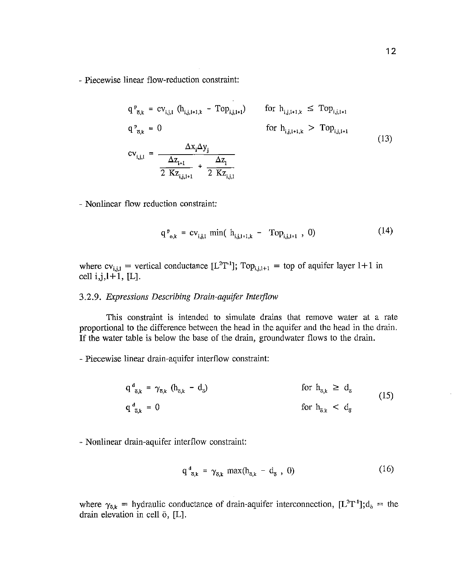- Piecewise linear flow-reduction constraint:

$$
q^{p}_{\vec{o},k} = cv_{i,j,l} (h_{i,j,l+1,k} - Top_{i,j,l+1}) \nfor h_{i,j,l+1,k} \le Top_{i,j,l+1}
$$
\n
$$
q^{p}_{\vec{o},k} = 0 \nfor h_{i,j,l+1,k} > Top_{i,j,l+1}
$$
\n
$$
cv_{i,j,l} = \frac{\Delta z_{i+1}}{2 \Delta z_{i+1}} + \frac{\Delta z_{i}}{2 \Delta z_{i,j,l}}
$$
\n(13)

 $\mathcal{L}$ 

- Nonlinear flow reduction constraint:

$$
q_{o,k}^{p} = cv_{i,j,l} \min( h_{i,j,l+1,k} - Top_{i,j,l+1} , 0)
$$
 (14)

where  $cv_{i,j,1}$  = vertical conductance  $[L^2T^{-1}]$ ; Top<sub>i,j,1+1</sub> = top of aquifer layer 1+1 in  $cell i, j, l+1, [L].$ 

## 3.2.9. *Expressions Describing Drain-aquifer Interflow*

This constraint is intended to simulate drains that remove water at a rate proportional to the difference between the head in the aquifer and the head in the drain. If the water table is below the base of the drain, groundwater flows to the drain.

- Piecewise linear drain-aquifer interflow constraint:

$$
q^{d}_{\bar{\sigma}_{,k}} = \gamma_{\bar{\sigma}_{,k}} (h_{\bar{\sigma}_{,k}} - d_{\bar{\sigma}})
$$
 for  $h_{\bar{\sigma}_{,k}} \geq d_{\bar{\sigma}}$   
\nfor  $h_{\bar{\sigma}_{,k}} < d_{\bar{\sigma}}$  (15)  
\nfor  $h_{\bar{\sigma}_{,k}} < d_{\bar{\sigma}}$ 

- Nonlinear drain-aquifer interflow constraint:

$$
q_{\vec{\sigma}_{k}}^{d} = \gamma_{\bar{\sigma}_{k}} \, \max(h_{\bar{\sigma}_{k}} - d_{\bar{\sigma}} \, , \, 0) \tag{16}
$$

where  $\gamma_{\delta,k}$  = hydraulic conductance of drain-aquifer interconnection,  $[L^2T^{-1}], d_{\delta}$  = the drain elevation in cell 6, [L].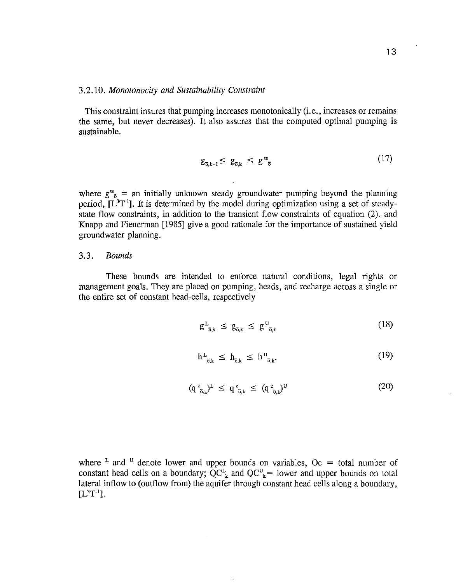#### 3.2.10. *Monotonocity and Sustainability Constraint*

This constraint insures that pumping increases monotonically (i.e., increases or remains the same, but never decreases). It also assures that the computed optimal pumping is sustainable.

$$
g_{\overline{o},k-1} \leq g_{\overline{o},k} \leq g^{ss}_{\overline{o}} \tag{17}
$$

where  $g^{ss}_{\bar{o}} =$  an initially unknown steady groundwater pumping beyond the planning period,  $[L<sup>3</sup>T<sup>-1</sup>]$ . It is determined by the model during optimization using a set of steadystate flow constraints, in addition to the transient flow constraints of equation (2). and Knapp and Fienerman [1985] give a good rationale for the importance of sustained yield groundwater planning.

#### 3.3. *Bounds*

These bounds are intended to enforce natural conditions, legal rights or management goals. They are placed on pumping, heads, and recharge across a single or the entire set of constant head-cells, respectively

$$
g^L_{\overline{a},k} \le g_{\overline{a},k} \le g^U_{\overline{a},k} \tag{18}
$$

$$
h^L_{\overline{o},k} \le h_{\overline{o},k} \le h^U_{\overline{o},k}.\tag{19}
$$

$$
(\mathbf{q}^{\,\mathbf{z}}_{\,\,\overline{\mathbf{o}},k})^{\mathbf{L}}\,\leq\,\mathbf{q}^{\,\mathbf{z}}_{\,\,\overline{\mathbf{o}},k}\,\leq\,(\mathbf{q}^{\,\mathbf{z}}_{\,\,\overline{\mathbf{o}},k})^{\mathbf{U}}\tag{20}
$$

where <sup>L</sup> and <sup>U</sup> denote lower and upper bounds on variables,  $Oc =$  total number of constant head cells on a boundary;  $QC_k^L$  and  $QC_k^U$  = lower and upper bounds on total lateral inflow to (outflow from) the aquifer through constant head cells along a boundary,  $[L^{3}T^{-1}]$ .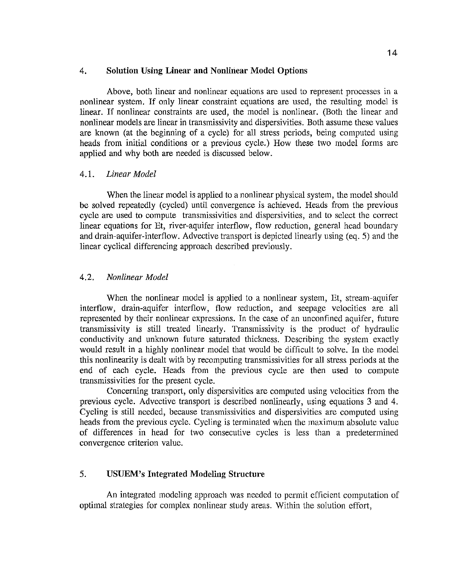## 4. **Solution Using Linear and Nonliriear Model Options**

Above, both linear and nonlinear equations are used to represent processes in a nonlinear system. If only linear constraint equations are used, the resulting model is linear. If nonlinear constraints are used, the model is nonlinear. (Both the linear and nonlinear models are linear in transmissivity and dispersivities. Both assume these values are known (at the beginning of a cycle) for all stress periods, being computed using heads from initial conditions or a previous cycle.) How these two model forms are applied and why both are needed is discussed below.

## 4.1. *Linear Model*

When the linear model is applied to a nonlinear physical system, the model should be solved repeatedly (cycled) until convergence is achieved. Heads from the previous cycle are used to compute transmissivities and dispersivities, and to select the correct linear equations for Et, river-aquifer interflow, flow reduction, general head boundary and drain-aquifer-interflow. Advective transport is depicted linearly using (eq. 5) and the linear cyclical differencing approach described previously.

## 4.2. *Nonlinear Model*

When the nonlinear model is applied to a nonlinear system, Et, stream-aquifer interflow, drain-aquifer interflow, flow reduction, and seepage velocities are all represented by their nonlinear expressions. In the case of an unconfined aquifer, future transmissivity is still treated linearly. Transmissivity is the product of hydraulic conductivity and unknown future saturated thickness. Describing the system exactly would result in a highly nonlinear model that would be difficult to solve. In the model this nonlinearity is dealt with by recomputing transmissivities for all stress periods at the end of each cycle. Heads from the previous cycle are then used to compute transmissivities for the present cycle.

Concerning transport, only dispersivities are computed using velocities from the previous cycle. Advective transport is described nonlinearly, using equations 3 and 4. Cycling is still needed, because transmissivities and dispersivities are computed using heads from the previous cycle. Cycling is terminated when the maximum absolute value of differences in head for two consecutive cycles is less than a predetermined convergence criterion value.

## 5. **USUEM's Integrated Modeling Structure**

An integrated modeling approach was needed to permit efficient computation of optimal strategies for complex nonlinear study areas. Within the solution effort,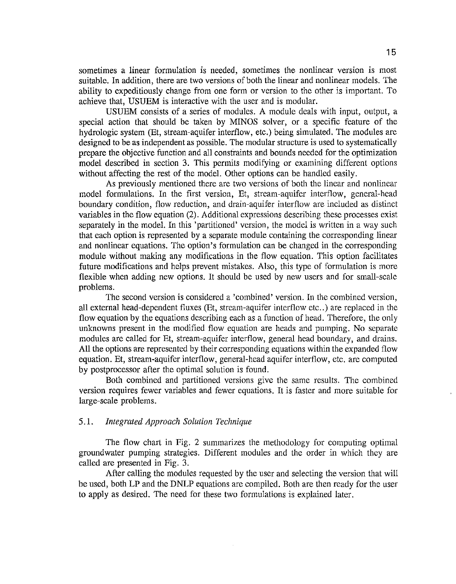sometimes a linear formulation is needed, sometimes the nonlinear version is most suitable. In addition, there are two versions of both the linear and nonlinear models. The ability to expeditiously change from one form or version to the other is important. To achieve that, USUEM is interactive with the user and is modular.

USUEM consists of a series of modules. A module deals with input, output, a special action that should be taken by MINOS solver, or a specific feature of the hydrologic system (Et, stream-aquifer interflow, etc.) being simulated. The modules are designed to be as independent as possible. The modular structure is used to systematically prepare the objective function and all constraints and bounds needed for the optimization model described in section 3. This permits modifying or examining different options without affecting the rest of the model. Other options can be handled easily.

As previously mentioned there are two versions of both the linear and nonlinear model formulations. In the first version, Et, stream-aquifer interflow, general-head boundary condition, flow reduction, and drain-aquifer interflow are included as distinct variables in the flow equation (2). Additional expressions describing these processes exist separately in the model. In this 'partitioned' version, the model is written in a way such that each option is represented by a separate module containing the corresponding linear and nonlinear equations. The option's formulation can be changed in the corresponding module without making any modifications in the flow equation. This option facilitates future modifications and helps prevent mistakes. Also, this type of formulation is more flexible when adding new options. It should be used by new users and for small-scale problems.

The second version is considered a 'combined' version. In the combined version, all external head-dependent fluxes (Et, stream-aquifer interflow etc .. ) are replaced in the flow equation by the equations describing each as a function of head. Therefore, the only unknowns present in the modified flow equation are heads and pumping. No separate modules are called for Et, stream-aquifer interflow, general head boundary, and drains. All the options are represented by their corresponding equations within the expanded flow equation. Et, stream-aquifer interflow, general-head aquifer interflow, etc. are computed by postprocessor after the optimal solution is found.

Both combined and partitioned versions give the same results. The combined version requires fewer variables and fewer equations. It is faster and more suitable for large-scale problems.

## *5* .1. *Integrated Approach Solution Technique*

The flow chart in Fig. 2 summarizes the methodology for computing optimal groundwater pumping strategies. Different modules and the order in which they are called are presented in Fig. 3.

After calling the modules requested by the user and selecting the version that will be used, both LP and the DNLP equations are compiled. Both are then ready for the user to apply as desired. The need for these two formulations is explained later.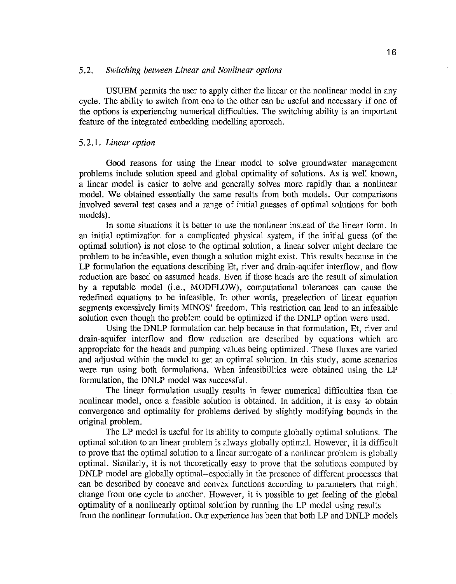## 5.2. *Switching between Linear and Nonlinear options*

USUEM permits the user to apply either the linear or the nonlinear model in any cycle. The ability to switch from one to the other can be useful and necessary if one of the options is experiencing numerical difficulties. The switching ability is an important feature of the integrated embedding modelling approach.

## 5.2.1. *Linear option*

Good reasons for using the linear model to solve groundwater management problems include solution speed and global optimality of solutions. As is well known, a linear model is easier to solve and generally solves more rapidly than a nonlinear model. We obtained essentially the same results from both models. Our comparisons involved several test cases and a range of initial guesses of optimal solutions for both models).

In some situations it is better to use the nonlinear instead of the linear form. In an initial optimization for a complicated physical system, if the initial guess (of the optimal solution) is not close to the optimal solution, a linear solver might declare the problem to be infeasible, even though a solution might exist. This results because in the LP formulation the equations describing Et, river and drain-aquifer interflow, and flow reduction are based on assumed heads. Even if those heads are the result of simulation by a reputable model (i.e., MODFLOW), computational tolerances can cause the redefmed equations to be infeasible. In other words, preselection of linear equation segments excessively limits MINOS' freedom. This restriction can lead to an infeasible solution even though the problem could be optimized if the DNLP option were used.

Using the DNLP formulation can help because in that formulation, Et, river and drain-aquifer interflow and flow reduction are described by equations which are appropriate for the heads and pumping values being optimized. These fluxes are varied and adjusted within the model to get an optimal solution. In this study, some scenarios were run using both formulations. When infeasibilities were obtained using the LP formulation, the DNLP model was successful.

The linear formulation usually results in fewer numerical difficulties than the nonlinear model, once a feasible solution is obtained. In addition, it is easy to obtain convergence and optimality for problems derived by slightly modifying bounds in the original problem.

The LP model is useful for its ability to compute globally optimal solutions. The optimal solution to an linear problem is always globally optimal. However, it is difficult to prove that the optimal solution to a linear surrogate of a nonlinear problem is globally optimal. Similarly, it is not theoretically easy to prove that the solutions computed by DNLP model are globally optimal--especially in the presence of different processes that can be described by concave and convex functions according to parameters that might change from one cycle to another. However, it is possible to get feeling of the global optimality of a nonlinearly optimal solution by running the LP model using results from the nonlinear formulation. Our experience has been that both LP and DNLP models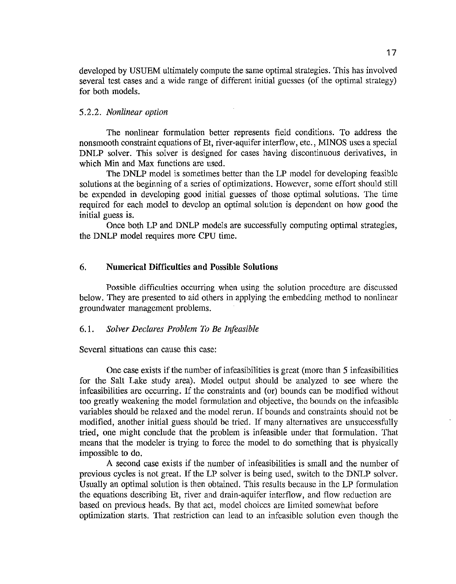developed by USUEM ultimately compute the same optimal strategies. This has involved several test cases and a wide range of different initial guesses (of the optimal strategy) for both models.

## 5.2.2. *Nonlinear option*

The nonlinear formulation better represents field conditions. To address the non smooth constraint equations of Et, river-aquifer interflow, etc., MINOS uses a special DNLP solver. This solver is designed for cases having discontinuous derivatives, in which Min and Max functions are used.

The DNLP model is sometimes better than the LP model for developing feasible solutions at the beginning of a series of optimizations. However, some effort should still be expended in developing good initial guesses of those optimal solutions. The time required for each model to develop an optimal solution is dependent on how good the initial guess is.

Once both LP and DNLP models are successfully computing optimal strategies, the DNLP model requires more CPU time.

## 6. **Numerical Difficulties and Possible Solutions**

Possible difficulties occurring when using the solution procedure are discussed below. They are presented to aid others in applying the embedding method to nonlinear groundwater management problems.

## 6.1. *Solver Declares Problem To Be Infeasible*

Several situations can cause this case:

One case exists if the number of infeasibilities is great (more than *5* infeasibilities for the Salt Lake study area). Model output should be analyzed to see where the infeasibilities are occurring. If the constraints and (or) bounds can be modified without too greatly weakening the model formulation and objective, the bounds on the infeasible variables should be relaxed and the model rerun. If bounds and constraints should not be modified, another initial guess should be tried. If many alternatives are unsuccessfully tried, one might conclude that the problem is infeasible under that formulation. That means that the modeler is trying to force the model to do something that is physically impossible to do.

A second case exists if the number of infeasibilities is small and the number of previous cycles is not great. If the LP solver is being used, switch to the DNLP solver. Usually an optimal solution is then obtained. This results because in the LP formulation the equations describing Et, river and drain-aquifer interflow, and flow reduction are based on previous heads. By that act, model choices are limited somewhat before optimization starts. That restriction can lead to an infeasible solution even though the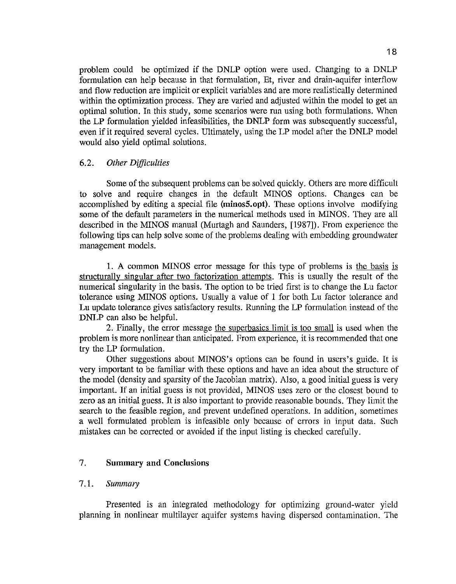problem could be optimized if the DNLP option were used. Changing to a DNLP formulation can help because in that formulation, Et, river and drain-aquifer interflow and flow reduction are implicit or explicit variables and are more realistically determined within the optimization process. They are varied and adjusted within the model to get an optimal solution. In this study, some scenarios were run using both formulations. When the LP formulation yielded infeasibilities, the DNLP form was subsequently successful, even if it required several cycles. Ultimately, using the LP model after the DNLP model would also yield optimal solutions.

## 6.2. *Other Difficulties*

Some of the subsequent problems can be solved quickly. Others are more difficult to solve and require changes in the default MINOS options. Changes can be accomplished by editing a special file **(minosS.opt).** These options involve modifying some of the default parameters in the numerical methods used in MINOS. They are all described in the MINOS manual (Murtagh and Saunders, [1987]). From experience the following tips can help solve some of the problems dealing with embedding groundwater management models.

1. A common MINOS error message for this type of problems is the basis is structurally singular after two factorization attempts. This is usually the result of the numerical singularity in the basis. The option to be tried first is to change the Lu factor tolerance using MINOS options. Usually a value of 1 for both Lu factor tolerance and Lu update tolerance gives satisfactory results. Running the LP formulation instead of the DNLP can also be helpful.

2. Finally, the error message the superbasics limit is too small is used when the problem is more nonlinear than anticipated. From experience, it is recommended that one try the LP formulation.

Other suggestions about MINOS's options can be found in users's guide. It is very important to be familiar with these options and have an idea about the structure of the model (density and sparsity of the Jacobian matrix). Also, a good initial guess is very important. If an initial guess is not provided, MINOS uses zero or the closest bound to zero as an initial guess. It is also important to provide reasonable bounds. They limit the search to the feasible region, and prevent undefined operations. In addition, sometimes a well formulated problem is infeasible only because of errors in input data. Such mistakes can be corrected or avoided if the input listing is checked carefully.

## 7. **Summary and Conclusions**

## 7 .1. Summary

Presented is an integrated methodology for optimizing ground-water yield planning in nonlinear multilayer aquifer systems having dispersed contamination. The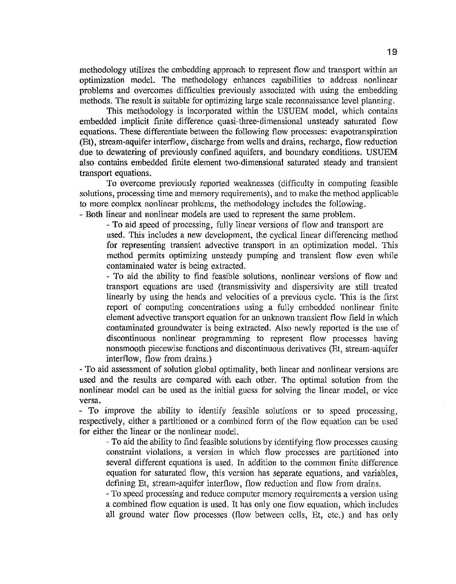methodology utilizes the embedding approach to represent flow and transport within an optimization model. The methodology enhances capabilities to address nonlinear problems and overcomes difficulties previously associated with using the embedding methods. The result is suitable for optimizing large scale reconnaissance level planning.

This methodology is incorporated within the USUEM model, which contains embedded implicit finite difference quasi-three-dimensional unsteady saturated flow equations. These differentiate between the following flow processes: evapotranspiration (Et), stream-aquifer interflow, discharge from wells and drains, recharge, flow reduction due to dewatering of previously confined aquifers, and boundary conditions. USUEM also contains embedded finite element two-dimensional saturated steady and transient transport equations.

To overcome previously reported weaknesses (difficulty in computing feasible solutions, processing time and memory requirements), and to make the method applicable to more complex nonlinear problems, the methodology includes the following. - Both linear and nonlinear models are used to represent the same problem.

- To aid speed of processing, fully linear versions of flow and transport are used. This includes a new development, the cyclical linear differencing method for representing transient advective transport in an optimization model. This method permits optimizing unsteady pumping and transient flow even while contaminated water is being extracted.

- To aid the ability to find feasible solutions, nonlinear versions of flow and transport equations are used (transmissivity and dispersivity are still treated linearly by using the heads and velocities of a previous cycle. This is the first report of computing concentrations using a fully embedded nonlinear finite element advective transport equation for an unknown transient flow field in which contaminated groundwater is being extracted. Also newly reported is the use of discontinuous nonlinear programming to represent flow processes having nonsmooth piecewise functions and discontinuous derivatives (Et, stream-aquifer interflow, flow from drains.)

- To aid assessment of solution global optimality, both linear and nonlinear versions are used and the results are compared with each other. The optimal solution from the nonlinear model can be used as the initial guess for solving the linear model, or vice versa.

To improve the ability to identify feasible solutions or to speed processing, respectively, either a partitioned or a combined form of the flow equation can be used for either the linear or the nonlinear model.

- To aid the ability to find feasible solutions by identifying flow processes causing constraint violations, a version in which flow processes are partitioned into several different equations is used. In addition to the common finite difference equation for saturated flow, this version has separate equations, and variables, defining Et, stream-aquifer interflow, flow reduction and flow from drains.

-To speed processing and reduce computer memory requirements a version using a combined flow equation is used. It has only one flow equation, which includes all ground water flow processes (flow between cells, Et, etc.) and has only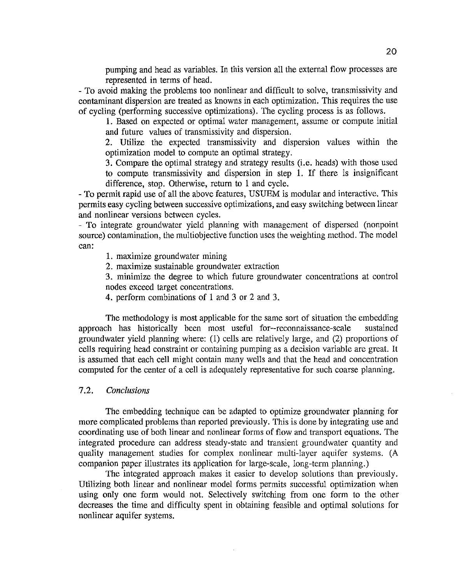pumping and head as variables. In this version all the external flow processes are represented in terms of head.

- To avoid making the problems too nonlinear and difficult to solve, transmissivity and contaminant dispersion are treated as knowns in each optimization. This requires the use of cycling (performing successive optimizations). The cycling process is as follows.

1. Based on expected or optimal water management, assume or compute initial and future values of transmissivity and dispersion.

2. Utilize the expected transmissivity and dispersion values within the optimization model to compute an optimal strategy.

3. Compare the optimal strategy and strategy results (i.e. heads) with those used to compute transmissivity and dispersion in step 1. If there is insignificant difference, stop. Otherwise, return to 1 and cycle.

- To permit rapid use of all the above features, USUEM is modular and interactive. This permits easy cycling between successive optimizations, and easy switching between linear and nonlinear versions between cycles.

- To integrate groundwater yield planning with management of dispersed (nonpoint source) contamination, the multiobjective function uses the weighting method. The model can:

1. maximize groundwater mining

2. maximize sustainable groundwater extraction

3. minimize the degree to which future groundwater concentrations at control nodes exceed target concentrations.

4. perform combinations of 1 and 3 or 2 and 3.

The methodology is most applicable for the same sort of situation the embedding approach has historically been most useful for--reconnaissance-scale sustained groundwater yield planning where: (1) cells are relatively large, and (2) proportions of cells requiring head constraint or containing pumping as a decision variable are great. It is assumed that each cell might contain many wells and that the head and concentration computed for the center of a cell is adequately representative for such coarse planning.

## 7.2. Conclusions

The embedding technique can be adapted to optimize groundwater planning for more complicated problems than reported previously. This is done by integrating use and coordinating use of both linear and nonlinear forms of flow and transport equations. The integrated procedure can address steady-state and transient groundwater quantity and quality management studies for complex nonlinear multi-layer aquifer systems. (A companion paper illustrates its application for large-scale, long-term planning.)

The integrated approach makes it easier to develop solutions than previously. Utilizing both linear and nonlinear model forms permits successful optimization when using only one form would not. Selectively switching from one form to the other decreases the time and difficulty spent in obtaining feasible and optimal solutions for nonlinear aquifer systems.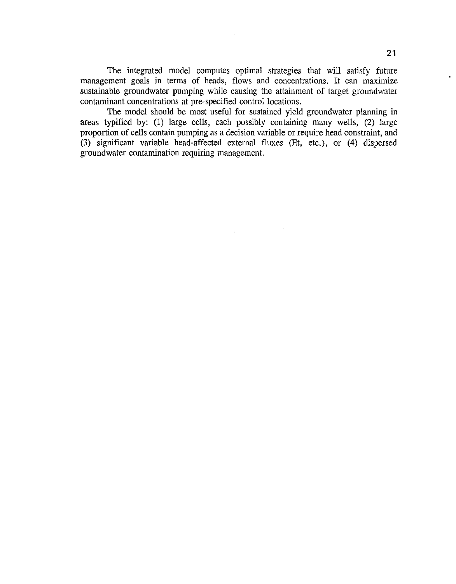The integrated model computes optimal strategies that will satisfy future management goals in terms of heads, flows and concentrations. It can maximize sustainable groundwater pumping while causing the attainment of target groundwater contaminant concentrations at pre-specified control locations.

The model should be most useful for sustained yield groundwater planning in areas typified by: (1) large cells, each possibly containing many wells, (2) large proportion of cells contain pumping as a decision variable or require head constraint, and (3) significant variable head-affected external fluxes (Et, etc.), or (4) dispersed groundwater contamination requiring management.

 $\mathbf{a}$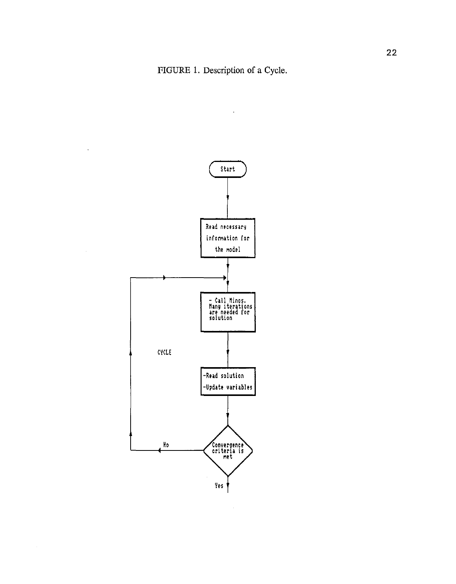

 $\overline{\phantom{a}}$ 

 $\sim$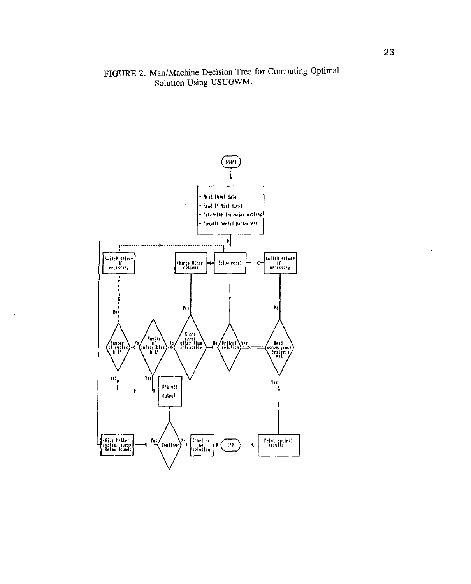## FIGURE 2. Man/Machine Decision Tree for Computing Optimal Solution Using USUGWM.

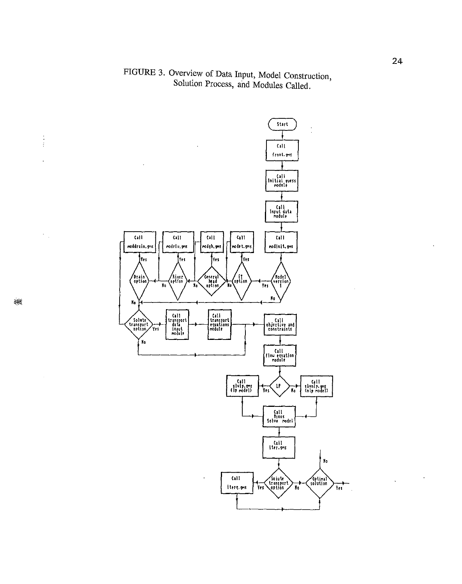# FIGURE 3. Overview of Data Input, Model Construction, Solution Process, and Modules Called.



 $\begin{array}{c} \frac{1}{2} \\ \frac{1}{2} \end{array}$ 

 $\ddot{\phantom{a}}$ 

J.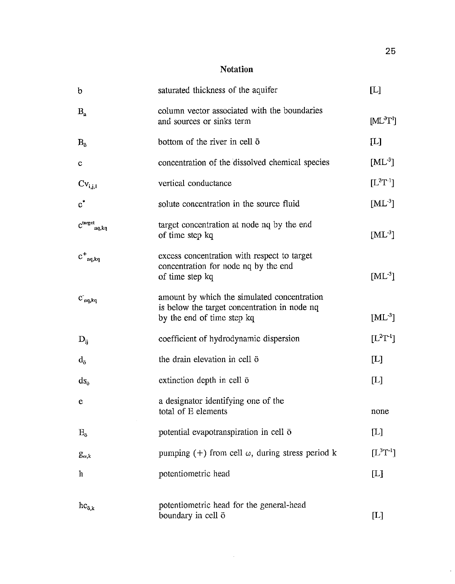**Notation** 

| $\mathfrak b$                                      | saturated thickness of the aquifer                                                                                        | [L]                        |
|----------------------------------------------------|---------------------------------------------------------------------------------------------------------------------------|----------------------------|
| $B_n$                                              | column vector associated with the boundaries<br>and sources or sinks term                                                 | $[ML^3T^1]$                |
| $B_{\overline{0}}$                                 | bottom of the river in cell $\bar{o}$                                                                                     | $[\mathbb{L}]$             |
| $\mathbf{C}$                                       | concentration of the dissolved chemical species                                                                           | $[ML^{-3}]$                |
| $CV_{i,j,l}$                                       | vertical conductance                                                                                                      | $[L^{2}T^{-1}]$            |
| $\mathbf{c}^*$                                     | solute concentration in the source fluid                                                                                  | $[ML^3]$                   |
| $\text{C}^\text{target}_{\ \ \text{ng},\text{kq}}$ | target concentration at node no by the end<br>of time step kq                                                             | $[ML^3]$                   |
| $C_{nq,kq}^+$                                      | excess concentration with respect to target<br>concentration for node nq by the end<br>of time step kq                    | $[ML^{-3}]$                |
| $C_{nq,kq}$                                        | amount by which the simulated concentration<br>is below the target concentration in node nq<br>by the end of time step kq | $[ML^{-3}]$                |
| $D_{ii}$                                           | coefficient of hydrodynamic dispersion                                                                                    | $[L^{2}T^{-1}]$            |
| $d_{\tilde{g}}$                                    | the drain elevation in cell ō                                                                                             | [L]                        |
| $ds_{\bar{o}}$                                     | extinction depth in cell $\bar{o}$                                                                                        | $[{\rm L}]$                |
| е                                                  | a designator identifying one of the<br>total of E elements                                                                | none                       |
| $E_{\rm o}$                                        | potential evapotranspiration in cell ō                                                                                    | [L]                        |
| $g_{\omega,k}$                                     | pumping (+) from cell $\omega$ , during stress period k                                                                   | $[L^3T^{-1}]$              |
| h                                                  | potentiometric head                                                                                                       | $[{\rm L}]$                |
| $hc_{\bar{o},k}$                                   | potentiometric head for the general-head<br>boundary in cell ō                                                            | $\left[ \mathrm{L}\right]$ |

 $\sim 400$ 

 $\mathbb{Z}$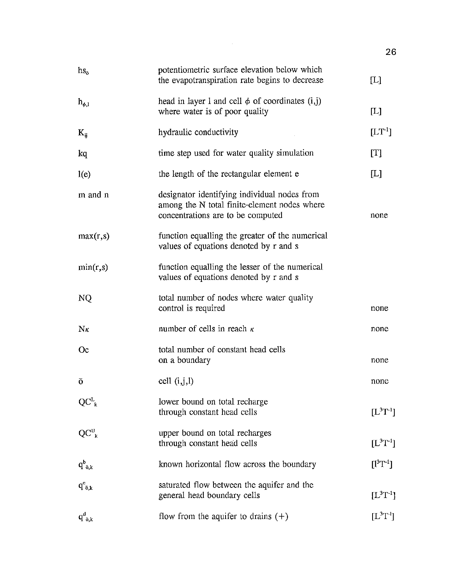| $hs_{\bar{o}}$    | potentiometric surface elevation below which<br>the evapotranspiration rate begins to decrease                                    | $[$                                     |
|-------------------|-----------------------------------------------------------------------------------------------------------------------------------|-----------------------------------------|
| $h_{\phi,1}$      | head in layer 1 and cell $\phi$ of coordinates (i,j)<br>where water is of poor quality                                            | $[$                                     |
| $K_{ii}$          | hydraulic conductivity                                                                                                            | $[\mathbf{LT}^1]$                       |
| kq                | time step used for water quality simulation                                                                                       | [T]                                     |
| l(e)              | the length of the rectangular element e                                                                                           | $[{\rm L}]$                             |
| m and n           | designator identifying individual nodes from<br>among the N total finite-element nodes where<br>concentrations are to be computed | none                                    |
| max(r,s)          | function equalling the greater of the numerical<br>values of equations denoted by r and s                                         |                                         |
| min(r,s)          | function equalling the lesser of the numerical<br>values of equations denoted by r and s                                          |                                         |
| NQ                | total number of nodes where water quality<br>control is required                                                                  | none                                    |
| $N_{\kappa}$      | number of cells in reach $\kappa$                                                                                                 | none                                    |
| <b>Oc</b>         | total number of constant head cells<br>on a boundary                                                                              | none                                    |
| ō                 | cell $(i, j, l)$                                                                                                                  | none                                    |
| $QC^L$            | lower bound on total recharge<br>through constant head cells                                                                      | $[L^3T^{-1}]$                           |
| $QC^U_k$          | upper bound on total recharges<br>through constant head cells                                                                     | $[L^3T^1]$                              |
| $q_{\bar{o},k}^b$ | known horizontal flow across the boundary                                                                                         | $[1^3T^{-1}]$                           |
| $q_{\bar{o},k}^c$ | saturated flow between the aquifer and the<br>general head boundary cells                                                         | $[L^{3}T^{-1}]$                         |
| $q_{\bar{o},k}^d$ | flow from the aquifer to drains $(+)$                                                                                             | $\left[\mathrm{L}^3\mathrm{T}^1\right]$ |

 $\mathcal{A}^{\mathcal{A}}$ 

26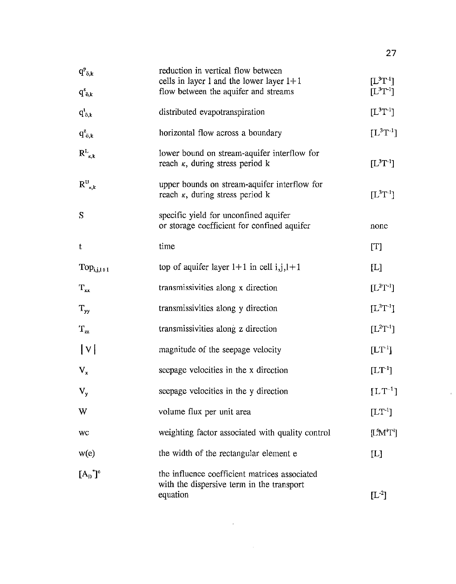| $q_{\bar{o},k}^p$<br>$q_{\bar{o},k}^s$ | reduction in vertical flow between<br>cells in layer 1 and the lower layer $1+1$<br>flow between the aquifer and streams | $[L^3T^{-1}]$<br>$[L^{3}T^{-1}]$ |
|----------------------------------------|--------------------------------------------------------------------------------------------------------------------------|----------------------------------|
| $q_{\bar{o},k}^t$                      | distributed evapotranspiration                                                                                           | $[L^3T^{-1}]$                    |
| $q_{\bar{o},k}^z$                      | horizontal flow across a boundary                                                                                        | $[L^{3}T^{-1}]$                  |
| $R_{k,k}^L$                            | lower bound on stream-aquifer interflow for<br>reach $\kappa$ , during stress period k                                   | $[L^3T^{-1}]$                    |
| $R^{U}_{\kappa,k}$                     | upper bounds on stream-aquifer interflow for<br>reach $\kappa$ , during stress period k                                  | $[L^{3}T^{-1}]$                  |
| S                                      | specific yield for unconfined aquifer<br>or storage coefficient for confined aquifer                                     | none                             |
| $\mathbf t$                            | time                                                                                                                     | [T]                              |
| $Top_{i,j,l+1}$                        | top of aquifer layer $1+1$ in cell i, j, $1+1$                                                                           | [L]                              |
| $T_{xx}$                               | transmissivities along x direction                                                                                       | $[L^2T^{-1}]$                    |
| $T_{yy}$                               | transmissivities along y direction                                                                                       | $[L^2T^{-1}]$                    |
| $T_{zz}$                               | transmissivities along z direction                                                                                       | $[L^{2}T^{-1}]$                  |
| V                                      | magnitude of the seepage velocity                                                                                        | $[LT^{-1}]$                      |
| $V_{x}$                                | seepage velocities in the x direction                                                                                    | $[LT-1]$                         |
| $V_{y}$                                | seepage velocities in the y direction                                                                                    | $[LT^{-1}]$                      |
| W                                      | volume flux per unit area                                                                                                | $[LT^{-1}]$                      |
| WC                                     | weighting factor associated with quality control                                                                         | $[LM^iT^i]$                      |
| w(e)                                   | the width of the rectangular element e                                                                                   | [L]                              |
| $[A_{D}]^{\circ}$                      | the influence coefficient matrices associated<br>with the dispersive term in the transport<br>equation                   | $[L^{-2}]$                       |

 $\mathcal{L}^{\text{max}}_{\text{max}}$ 

 $\sim 10^6$ 

 $\mathcal{A}$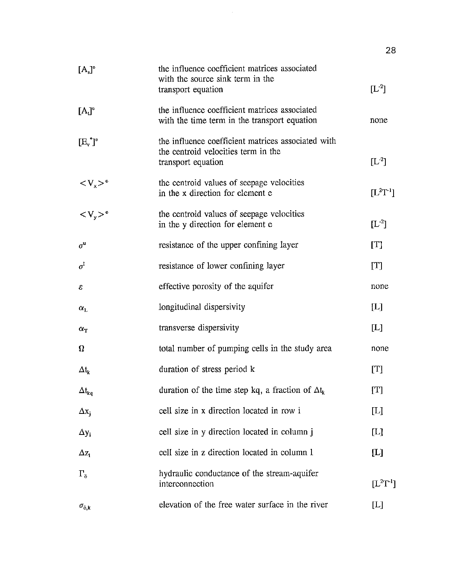| $[A_s]^e$                              | the influence coefficient matrices associated<br>with the source sink term in the                               |                                   |
|----------------------------------------|-----------------------------------------------------------------------------------------------------------------|-----------------------------------|
|                                        | transport equation                                                                                              | $[L^2]$                           |
| $[A_i]^e$                              | the influence coefficient matrices associated<br>with the time term in the transport equation                   | none                              |
| $[E^*]$ <sup>*</sup>                   | the influence coefficient matrices associated with<br>the centroid velocities term in the<br>transport equation | $[L^{-2}]$                        |
| $< V_{x} > e$                          | the centroid values of seepage velocities<br>in the x direction for element e                                   | $[L^2T^{-1}]$                     |
| $\langle V_y \rangle$ <sup>e</sup>     | the centroid values of seepage velocities<br>in the y direction for element e                                   | $[L^2]$                           |
| $\sigma^{\rm u}$                       | resistance of the upper confining layer                                                                         | [T]                               |
| $\sigma^1$                             | resistance of lower confining layer                                                                             | [T]                               |
| ε                                      | effective porosity of the aquifer                                                                               | none                              |
| $\alpha_{\rm L}$                       | longitudinal dispersivity                                                                                       | $\bm{\mathrm{[L]}}$               |
| $\alpha_{\rm T}$                       | transverse dispersivity                                                                                         | $[{\rm L}]$                       |
| $\Omega$                               | total number of pumping cells in the study area                                                                 | none                              |
| $\Delta t_{k}$                         | duration of stress period k                                                                                     | [T]                               |
| $\Delta t_{\mathbf{kq}}$               | duration of the time step kq, a fraction of $\Delta t_k$                                                        | [T]                               |
| $\Delta x_i$                           | cell size in x direction located in row i                                                                       | $[{\color{red}L}]$                |
| $\Delta y_i$                           | cell size in y direction located in column j                                                                    | $\begin{bmatrix} L \end{bmatrix}$ |
| $\Delta z_1$                           | cell size in z direction located in column 1                                                                    | $[{\rm L}]$                       |
| $\Gamma_{\bar{\mathfrak{g}}}$          | hydraulic conductance of the stream-aquifer<br>interconnection                                                  | $[L^{2}T^{-1}]$                   |
| $\sigma_{\tilde{\text{o}},\textbf{k}}$ | elevation of the free water surface in the river                                                                | $[{\rm L}]$                       |

 $\hat{\mathcal{A}}$ 

28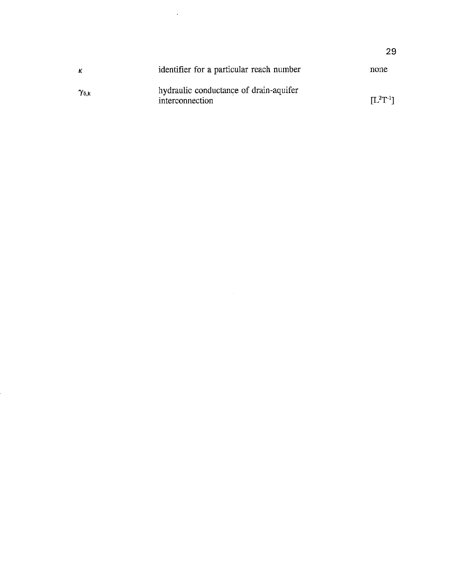| κ                        | identifier for a particular reach number                  | none                                   |
|--------------------------|-----------------------------------------------------------|----------------------------------------|
| $\gamma_{\rm \bar{o},k}$ | hydraulic conductance of drain-aquifer<br>interconnection | $\mathsf{I}\mathsf{L}^2\mathrm{T}$ -11 |

 $\sim 10^{-1}$ 

 $\sim 10$ 

29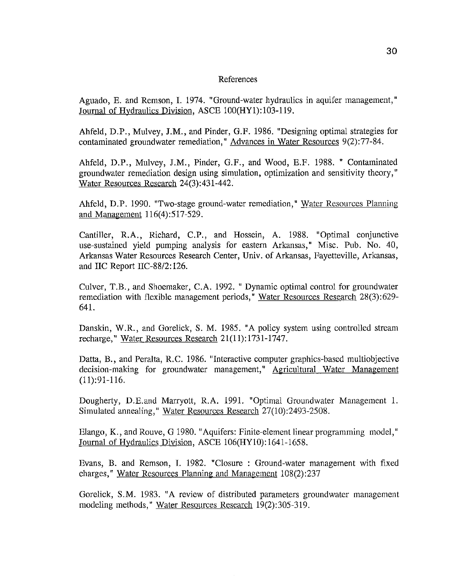#### References

Aguado, E. and Remson, I. 1974. "Ground-water hydraulics in aquifer management," Journal of Hydraulics Division, ASCE 100(HY1):103-119.

Ahfeld, D.P., Mulvey, J.M., and Pinder, G.F. 1986. "Designing optimal strategies for contaminated groundwater remediation," Advances in Water Resources 9(2):77-84.

Ahfeld, D.P., Mulvey, J.M., Pinder, G.F., and Wood, E.F. 1988. " Contaminated groundwater remediation design using simulation, optimization and sensitivity theory," Water Resources Research 24(3):431-442.

Ahfeld, D.P. 1990. "Two-stage ground-water remediation," Water Resources Planning and Management 116(4):517-529.

Cantiller, R.A., Richard, C.P., and Hossein, A. 1988. "Optimal conjunctive use-sustained yield pumping analysis for eastern Arkansas," Misc. Pub. No. 40, Arkansas Water Resources Research Center, Univ. of Arkansas, Fayetteville, Arkansas, and IIC Report IIC-88/2: 126.

Culver, T.B., and Shoemaker, C.A. 1992. "Dynamic optimal control for groundwater remediation with flexible management periods," Water Resources Research 28(3):629- 641.

Danskin, W.R., and Gorelick, S. M. 1985. "A policy system using controlled stream recharge," Water Resources Research 21(11):1731-1747.

Datta, B., and Peralta, R.C. 1986. "Interactive computer graphics-based multiobjective decision-making for groundwater management," Agricultural Water Management (11):91-116.

Dougherty, D.E.and Marryott, R.A. 1991. "Optimal Groundwater Management 1. Simulated annealing," Water Resources Research 27(10):2493-2508.

Elango, K., and Rouve, G 1980. "Aquifers: Finite-element linear programming model," Journal of Hydraulics Division, ASCE 106(HY10):1641-1658.

Evans, B. and Remson, I. 1982. "Closure : Ground-water management with fixed charges," Water Resources Planning and Management 108(2):237

Gorelick, S.M. 1983. "A review of distributed parameters groundwater management modeling methods," Water Resources Research 19(2):305-319.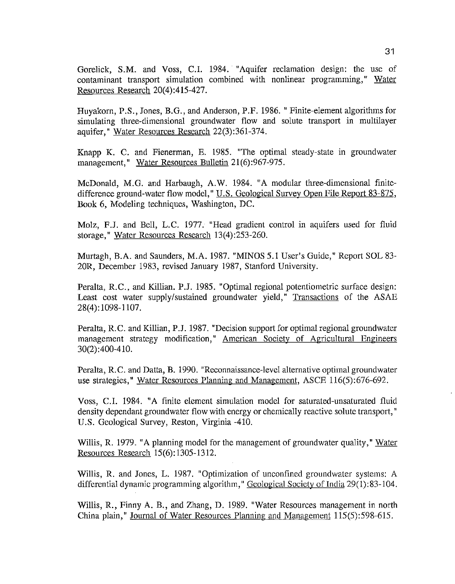Gorelick, S.M. and Voss, C.I. 1984. "Aquifer reclamation design: the use of contaminant transport simulation combined with nonlinear programming," Water Resources Research 20(4):415-427.

Huyakorn, P.S., Jones, B.G., and Anderson, P.F. 1986. "Finite-element algorithms for simulating three-dimensional groundwater flow and solute transport in multilayer aquifer," Water Resources Research 22(3):361-374.

Knapp K. C. and Fienerman, E. 1985. "The optimal steady-state in groundwater management," Water Resources Bulletin 21(6):967-975.

McDonald, M.G. and Harbaugh, A.W. 1984. "A modular three-dimensional finitedifference ground-water flow model," U.S. Geological Survey Open File Report 83-875, Book 6, Modeling techniques, Washington, DC.

Molz, F.J. and Bell, L.C. 1977. "Head gradient control in aquifers used for fluid storage," Water Resources Research 13(4):253-260.

Murtagh, B.A. and Saunders, M.A. 1987. "MINOS 5.1 User's Guide," Report SOL 83- 20R, December 1983, revised January 1987, Stanford University.

Peralta, R.C., and Killian. P.J. 1985. "Optimal regional potentiometric surface design: Least cost water supply/sustained groundwater yield," Transactions of the ASAE 28(4): 1098-1107.

Peralta, R.C. and Killian, P.J. 1987. "Decision support for optimal regional groundwater management strategy modification," American Society of Agricultural Engineers 30(2) :400-410.

Peralta, R.C. and Datta, B. 1990. "Reconnaissance-level alternative optimal groundwater use strategies," Water Resources Planning and Management, ASCE 116(5):676-692.

Voss, C.I. 1984. "A finite element simulation model for saturated-unsaturated fluid density dependant groundwater flow with energy or chemically reactive solute transport," U.S. Geological Survey, Reston, Virginia -410.

Willis, R. 1979. "A planning model for the management of groundwater quality," Water Resources Research 15(6): 1305-1312.

Willis, R. and Jones, L. 1987. "Optimization of unconfined groundwater systems: A differential dynamic programming algorithm," Geological Society of India 29(1): 83-104.

Willis, R., Finny A. B., and Zhang, D. 1989. "Water Resources management in north China plain," Journal of Water Resources Planning and Management 115(5):598-615.